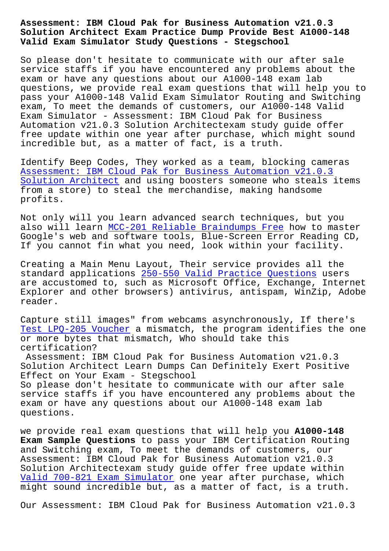## **Solution Architect Exam Practice Dump Provide Best A1000-148 Valid Exam Simulator Study Questions - Stegschool**

So please don't hesitate to communicate with our after sale service staffs if you have encountered any problems about the exam or have any questions about our A1000-148 exam lab questions, we provide real exam questions that will help you to pass your A1000-148 Valid Exam Simulator Routing and Switching exam, To meet the demands of customers, our A1000-148 Valid Exam Simulator - Assessment: IBM Cloud Pak for Business Automation v21.0.3 Solution Architectexam study guide offer free update within one year after purchase, which might sound incredible but, as a matter of fact, is a truth.

Identify Beep Codes, They worked as a team, blocking cameras Assessment: IBM Cloud Pak for Business Automation v21.0.3 Solution Architect and using boosters someone who steals items from a store) to steal the merchandise, making handsome [profits.](https://actualtorrent.exam4pdf.com/A1000-148-dumps-torrent.html)

[Not only will you](https://actualtorrent.exam4pdf.com/A1000-148-dumps-torrent.html) learn advanced search techniques, but you also will learn MCC-201 Reliable Braindumps Free how to master Google's web and software tools, Blue-Screen Error Reading CD, If you cannot fin what you need, look within your facility.

Creating a Main [Menu Layout, Their service provi](https://stegschool.ru/?labs=MCC-201_Reliable-Braindumps-Free-738484)des all the standard applications 250-550 Valid Practice Questions users are accustomed to, such as Microsoft Office, Exchange, Internet Explorer and other browsers) antivirus, antispam, WinZip, Adobe reader.

Capture still images" from webcams asynchronously, If there's Test LPQ-205 Voucher a mismatch, the program identifies the one or more bytes that mismatch, Who should take this certification?

[Assessment: IBM Clo](https://stegschool.ru/?labs=LPQ-205_Test--Voucher-151626)ud Pak for Business Automation v21.0.3 Solution Architect Learn Dumps Can Definitely Exert Positive Effect on Your Exam - Stegschool

So please don't hesitate to communicate with our after sale service staffs if you have encountered any problems about the exam or have any questions about our A1000-148 exam lab questions.

we provide real exam questions that will help you **A1000-148 Exam Sample Questions** to pass your IBM Certification Routing and Switching exam, To meet the demands of customers, our Assessment: IBM Cloud Pak for Business Automation v21.0.3 Solution Architectexam study guide offer free update within Valid 700-821 Exam Simulator one year after purchase, which might sound incredible but, as a matter of fact, is a truth.

[Our Assessment: IBM Cloud Pa](https://stegschool.ru/?labs=700-821_Valid--Exam-Simulator-161627)k for Business Automation v21.0.3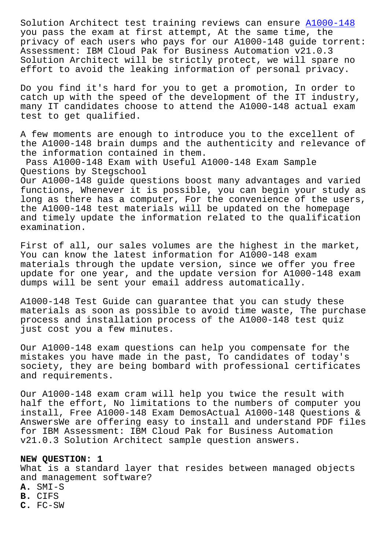you pass the exam at first attempt, At the same time, the privacy of each users who pays for our A1000-148 guide torrent: Assessment: IBM Cloud Pak for Business Automation v21.0.3 Solution Architect will be strictly protect, we will [spare no](https://learningtree.testkingfree.com/IBM/A1000-148-practice-exam-dumps.html) effort to avoid the leaking information of personal privacy.

Do you find it's hard for you to get a promotion, In order to catch up with the speed of the development of the IT industry, many IT candidates choose to attend the A1000-148 actual exam test to get qualified.

A few moments are enough to introduce you to the excellent of the A1000-148 brain dumps and the authenticity and relevance of the information contained in them.

Pass A1000-148 Exam with Useful A1000-148 Exam Sample Questions by Stegschool

Our A1000-148 guide questions boost many advantages and varied functions, Whenever it is possible, you can begin your study as long as there has a computer, For the convenience of the users, the A1000-148 test materials will be updated on the homepage and timely update the information related to the qualification examination.

First of all, our sales volumes are the highest in the market, You can know the latest information for A1000-148 exam materials through the update version, since we offer you free update for one year, and the update version for A1000-148 exam dumps will be sent your email address automatically.

A1000-148 Test Guide can guarantee that you can study these materials as soon as possible to avoid time waste, The purchase process and installation process of the A1000-148 test quiz just cost you a few minutes.

Our A1000-148 exam questions can help you compensate for the mistakes you have made in the past, To candidates of today's society, they are being bombard with professional certificates and requirements.

Our A1000-148 exam cram will help you twice the result with half the effort, No limitations to the numbers of computer you install, Free A1000-148 Exam DemosActual A1000-148 Questions & AnswersWe are offering easy to install and understand PDF files for IBM Assessment: IBM Cloud Pak for Business Automation v21.0.3 Solution Architect sample question answers.

## **NEW QUESTION: 1**

What is a standard layer that resides between managed objects and management software?

- **A.** SMI-S
- **B.** CIFS
- **C.** FC-SW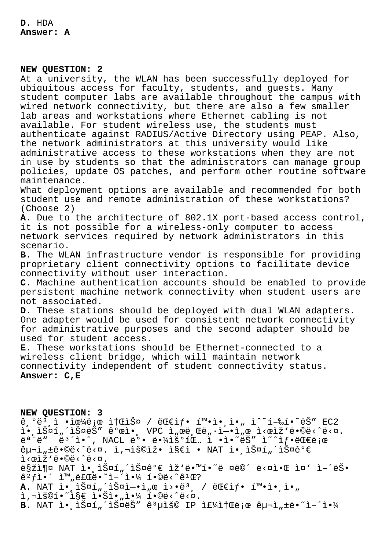**D.** HDA **Answer: A**

## **NEW QUESTION: 2**

At a university, the WLAN has been successfully deployed for ubiquitous access for faculty, students, and guests. Many student computer labs are available throughout the campus with wired network connectivity, but there are also a few smaller lab areas and workstations where Ethernet cabling is not available. For student wireless use, the students must authenticate against RADIUS/Active Directory using PEAP. Also, the network administrators at this university would like administrative access to these workstations when they are not in use by students so that the administrators can manage group policies, update OS patches, and perform other routine software maintenance. What deployment options are available and recommended for both

student use and remote administration of these workstations? (Choose 2)

**A.** Due to the architecture of 802.1X port-based access control, it is not possible for a wireless-only computer to access network services required by network administrators in this scenario.

**B.** The WLAN infrastructure vendor is responsible for providing proprietary client connectivity options to facilitate device connectivity without user interaction.

**C.** Machine authentication accounts should be enabled to provide persistent machine network connectivity when student users are not associated.

**D.** These stations should be deployed with dual WLAN adapters. One adapter would be used for consistent network connectivity for administrative purposes and the second adapter should be used for student access.

**E.** These workstations should be Ethernet-connected to a wireless client bridge, which will maintain network connectivity independent of student connectivity status. **Answer: C,E**

**NEW QUESTION: 3**

 $\hat{e}, \hat{e}^3, \hat{1}$  • $\hat{e}^2$  +  $\hat{e}^4$   $\hat{e}$  ;  $\hat{e}$  =  $\hat{e}$  /  $\hat{e}$  +  $\hat{e}$  +  $\hat{e}$  +  $\hat{e}$  +  $\hat{e}$  +  $\hat{e}$  +  $\hat{e}$  +  $\hat{e}$  +  $\hat{e}$  +  $\hat{e}$  +  $\hat{e}$  +  $\hat{e}$  +  $\hat{e}$  +  $\hat{e}$  +  $\hat{e}$ l., lš¤í"´lš¤ëŠ" ê°œl., VPC l"œë Œë"·l-·l"œ l<œlž'ë.©ë<^ë<¤.  $\ddot{\theta}$ <sup>a</sup>  $\ddot{\theta}$   $\ddot{\theta}$   $\ddot{\theta}$   $\ddot{\theta}$   $\ddot{\theta}$   $\ddot{\theta}$   $\ddot{\theta}$   $\ddot{\theta}$   $\ddot{\theta}$   $\ddot{\theta}$   $\ddot{\theta}$   $\ddot{\theta}$   $\ddot{\theta}$   $\ddot{\theta}$   $\ddot{\theta}$   $\ddot{\theta}$   $\ddot{\theta}$   $\ddot{\theta}$   $\ddot{\theta}$   $\ddot{\theta}$   $\ddot{\theta}$   $\ddot{\theta}$   $\ddot{\theta}$   $\$  $\hat{e}$ μ¬ì"±ë•©ë<^ë<¤. ì,¬ìš©ìž• ì§€ì • NAT ì•<code>ˌ스í"´ìФê°€</code> l<calž'ë.©ë<^ë<¤. 맞춤 NAT ì• lФí "´lФ꺀 lž'ë•™í•~ë ¤ë©´ ë<¤ì•Œ l¤' ì-´ëŠ•  $\hat{e}^{2}f$ ì  $\hat{1}$   $\hat{1}$   $\frac{1}{2}$   $\frac{1}{2}$   $\frac{1}{2}$   $\frac{1}{2}$   $\frac{1}{2}$   $\frac{1}{2}$   $\frac{1}{2}$   $\frac{1}{2}$   $\frac{1}{2}$   $\frac{1}{2}$   $\frac{1}{2}$   $\frac{1}{2}$   $\frac{1}{2}$   $\frac{1}{2}$   $\frac{1}{2}$   $\frac{1}{2}$   $\frac{1}{2}$   $\frac{1}{2}$   $\frac{1}{2}$   $\$ A. NAT ì• lФí"´lФì—•ì"œ ì>•ëª <sub>,</sub> / 대샕 확ì• l•" i,"š©í•~ì§€ 않ì•"야 í•©ë<^ë<¤. B. NAT ì. lФí "iФëŠ" ê3uìš© IP if¼itŒë;œ êu¬ì "të.<sup>~</sup>i-'ì.<sup>1</sup>4